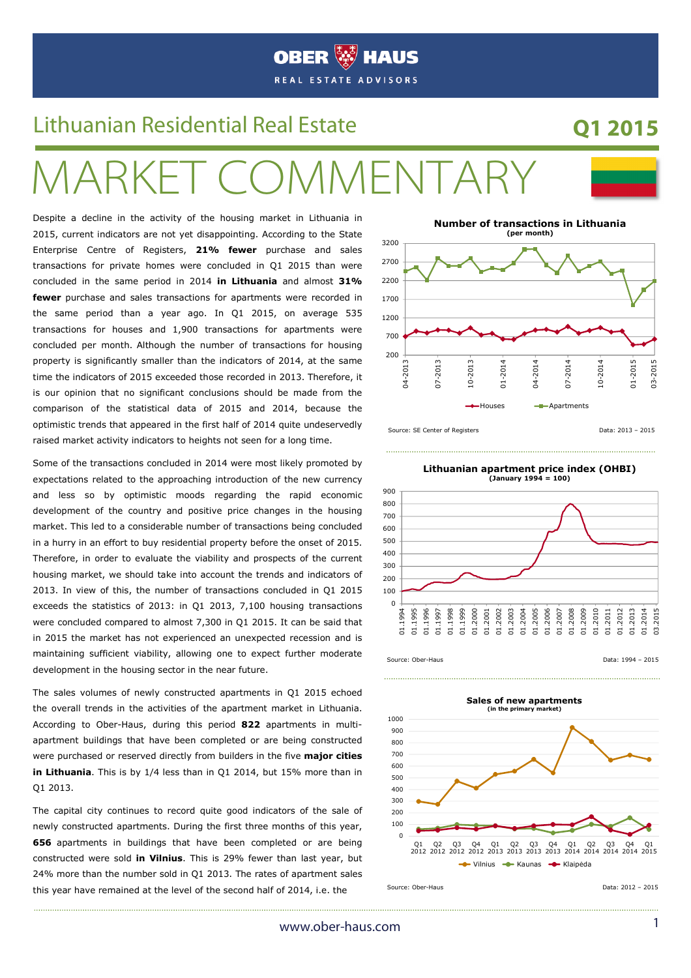

# Lithuanian Residential Real Estate **Q1 2015**

# ARKET COMMENTARY

Despite a decline in the activity of the housing market in Lithuania in 2015, current indicators are not yet disappointing. According to the State Enterprise Centre of Registers, **21% fewer** purchase and sales transactions for private homes were concluded in Q1 2015 than were concluded in the same period in 2014 **in Lithuania** and almost **31% fewer** purchase and sales transactions for apartments were recorded in the same period than a year ago. In Q1 2015, on average 535 transactions for houses and 1,900 transactions for apartments were concluded per month. Although the number of transactions for housing property is significantly smaller than the indicators of 2014, at the same time the indicators of 2015 exceeded those recorded in 2013. Therefore, it is our opinion that no significant conclusions should be made from the comparison of the statistical data of 2015 and 2014, because the optimistic trends that appeared in the first half of 2014 quite undeservedly raised market activity indicators to heights not seen for a long time.

Some of the transactions concluded in 2014 were most likely promoted by expectations related to the approaching introduction of the new currency and less so by optimistic moods regarding the rapid economic development of the country and positive price changes in the housing market. This led to a considerable number of transactions being concluded in a hurry in an effort to buy residential property before the onset of 2015. Therefore, in order to evaluate the viability and prospects of the current housing market, we should take into account the trends and indicators of 2013. In view of this, the number of transactions concluded in Q1 2015 exceeds the statistics of 2013: in Q1 2013, 7,100 housing transactions were concluded compared to almost 7,300 in Q1 2015. It can be said that in 2015 the market has not experienced an unexpected recession and is maintaining sufficient viability, allowing one to expect further moderate development in the housing sector in the near future.

The sales volumes of newly constructed apartments in Q1 2015 echoed the overall trends in the activities of the apartment market in Lithuania. According to Ober-Haus, during this period **822** apartments in multiapartment buildings that have been completed or are being constructed were purchased or reserved directly from builders in the five **major cities in Lithuania**. This is by 1/4 less than in Q1 2014, but 15% more than in Q1 2013.

The capital city continues to record quite good indicators of the sale of newly constructed apartments. During the first three months of this year, **656** apartments in buildings that have been completed or are being constructed were sold **in Vilnius**. This is 29% fewer than last year, but 24% more than the number sold in Q1 2013. The rates of apartment sales this year have remained at the level of the second half of 2014, i.e. the



**Lithuanian apartment price index (OHBI)** 



Source: Ober-Haus **Data: 1994 – 2015** 

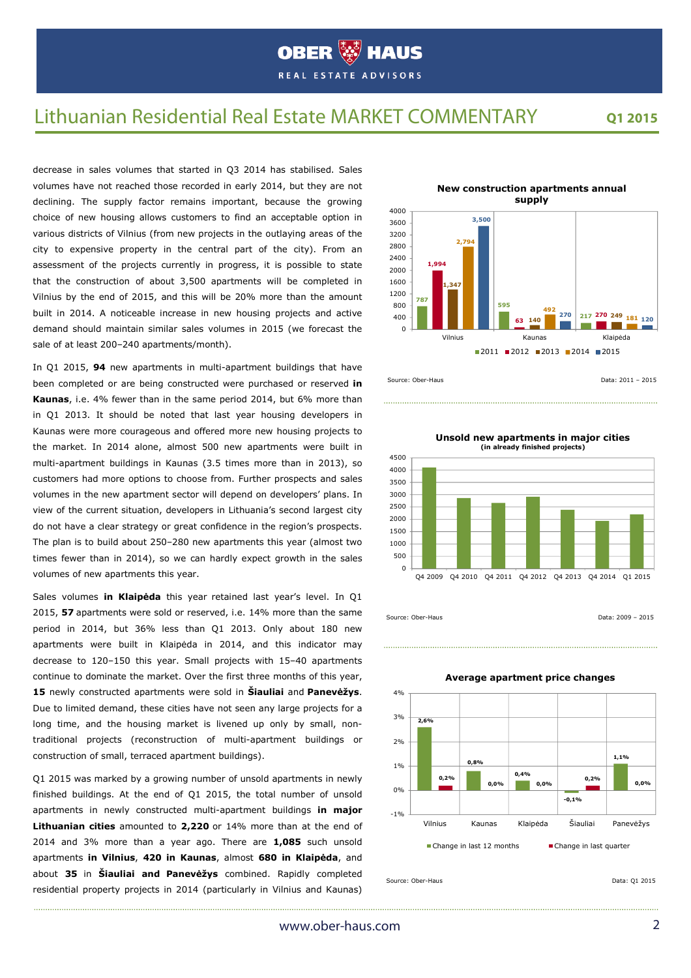## Lithuanian Residential Real Estate MARKET COMMENTARY

**Q1 2015**

decrease in sales volumes that started in Q3 2014 has stabilised. Sales volumes have not reached those recorded in early 2014, but they are not declining. The supply factor remains important, because the growing choice of new housing allows customers to find an acceptable option in various districts of Vilnius (from new projects in the outlaying areas of the city to expensive property in the central part of the city). From an assessment of the projects currently in progress, it is possible to state that the construction of about 3,500 apartments will be completed in Vilnius by the end of 2015, and this will be 20% more than the amount built in 2014. A noticeable increase in new housing projects and active demand should maintain similar sales volumes in 2015 (we forecast the sale of at least 200-240 apartments/month).

In Q1 2015, **94** new apartments in multi-apartment buildings that have been completed or are being constructed were purchased or reserved **in Kaunas**, i.e. 4% fewer than in the same period 2014, but 6% more than in Q1 2013. It should be noted that last year housing developers in Kaunas were more courageous and offered more new housing projects to the market. In 2014 alone, almost 500 new apartments were built in multi-apartment buildings in Kaunas (3.5 times more than in 2013), so customers had more options to choose from. Further prospects and sales volumes in the new apartment sector will depend on developers' plans. In view of the current situation, developers in Lithuania's second largest city do not have a clear strategy or great confidence in the region's prospects. The plan is to build about 250–280 new apartments this year (almost two times fewer than in 2014), so we can hardly expect growth in the sales volumes of new apartments this year.

Sales volumes **in Klaipėda** this year retained last year's level. In Q1 2015, **57** apartments were sold or reserved, i.e. 14% more than the same period in 2014, but 36% less than Q1 2013. Only about 180 new apartments were built in Klaipėda in 2014, and this indicator may decrease to 120–150 this year. Small projects with 15–40 apartments continue to dominate the market. Over the first three months of this year, **15** newly constructed apartments were sold in **Šiauliai** and **Panevėžys**. Due to limited demand, these cities have not seen any large projects for a long time, and the housing market is livened up only by small, nontraditional projects (reconstruction of multi-apartment buildings or construction of small, terraced apartment buildings).

Q1 2015 was marked by a growing number of unsold apartments in newly finished buildings. At the end of Q1 2015, the total number of unsold apartments in newly constructed multi-apartment buildings **in major Lithuanian cities** amounted to **2,220** or 14% more than at the end of 2014 and 3% more than a year ago. There are **1,085** such unsold apartments **in Vilnius**, **420 in Kaunas**, almost **680 in Klaipėda**, and about **35** in **Šiauliai and Panevėžys** combined. Rapidly completed residential property projects in 2014 (particularly in Vilnius and Kaunas)



**Unsold new apartments in major cities (in already finished projects)**



Source: Ober-Haus **Data: 2009 – 2015** 



Source: Ober-Haus Data: Q1 2015

## **Average apartment price changes**